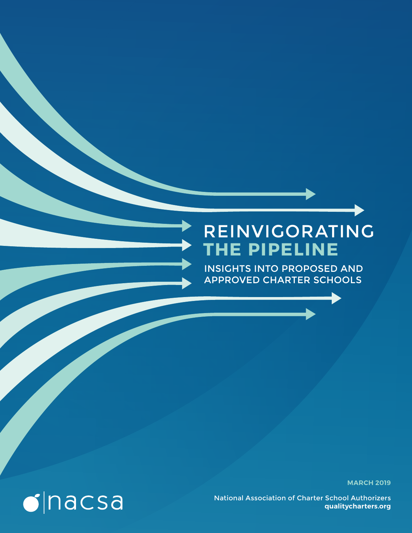## REINVIGORATING **THE PIPELINE**

INSIGHTS INTO PROPOSED AND APPROVED CHARTER SCHOOLS

**MARCH 2019**

National Association of Charter School Authorizers **qualitycharters.org**

# $\bullet$  nacsa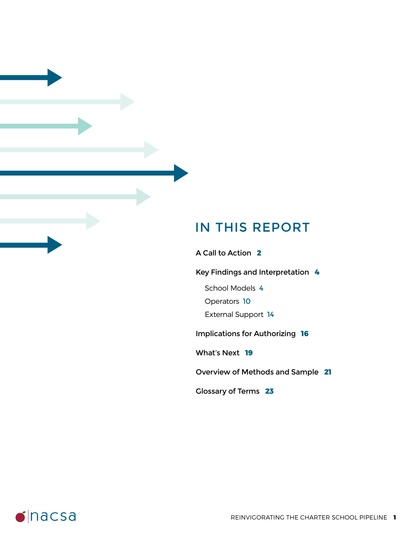### IN THIS REPORT

A Call to Action **2**

Key Findings and Interpretation **4**

School Models 4

Operators 10

External Support 14

Implications for Authorizing **16**

What's Next **19**

Overview of Methods and Sample **21**

Glossary of Terms **23**

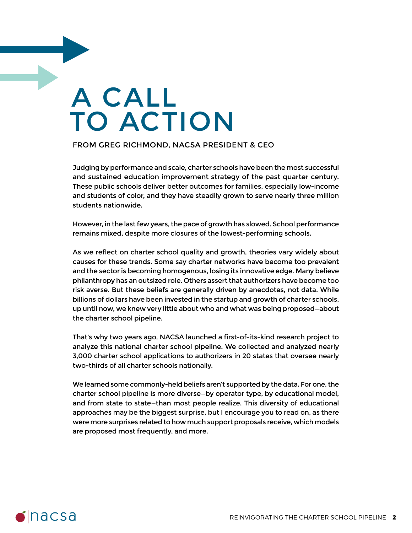# A CALL TO ACTION

#### FROM GREG RICHMOND, NACSA PRESIDENT & CEO

Judging by performance and scale, charter schools have been the most successful and sustained education improvement strategy of the past quarter century. These public schools deliver better outcomes for families, especially low-income and students of color, and they have steadily grown to serve nearly three million students nationwide.

However, in the last few years, the pace of growth has slowed. School performance remains mixed, despite more closures of the lowest-performing schools.

As we reflect on charter school quality and growth, theories vary widely about causes for these trends. Some say charter networks have become too prevalent and the sector is becoming homogenous, losing its innovative edge. Many believe philanthropy has an outsized role. Others assert that authorizers have become too risk averse. But these beliefs are generally driven by anecdotes, not data. While billions of dollars have been invested in the startup and growth of charter schools, up until now, we knew very little about who and what was being proposed—about the charter school pipeline.

That's why two years ago, NACSA launched a first-of-its-kind research project to analyze this national charter school pipeline. We collected and analyzed nearly 3,000 charter school applications to authorizers in 20 states that oversee nearly two-thirds of all charter schools nationally.

We learned some commonly-held beliefs aren't supported by the data. For one, the charter school pipeline is more diverse—by operator type, by educational model, and from state to state—than most people realize. This diversity of educational approaches may be the biggest surprise, but I encourage you to read on, as there were more surprises related to how much support proposals receive, which models are proposed most frequently, and more.

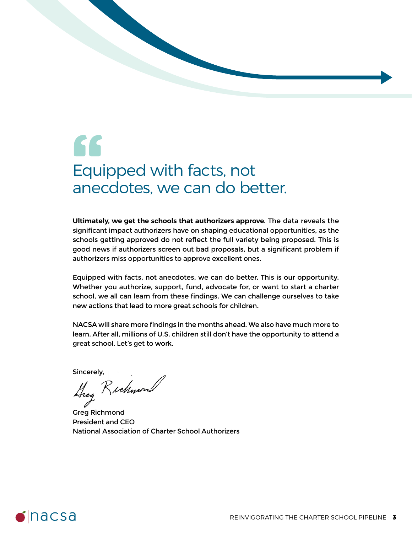# 66 Equipped with facts, not anecdotes, we can do better.

**Ultimately, we get the schools that authorizers approve.** The data reveals the significant impact authorizers have on shaping educational opportunities, as the schools getting approved do not reflect the full variety being proposed. This is good news if authorizers screen out bad proposals, but a significant problem if authorizers miss opportunities to approve excellent ones.

Equipped with facts, not anecdotes, we can do better. This is our opportunity. Whether you authorize, support, fund, advocate for, or want to start a charter school, we all can learn from these findings. We can challenge ourselves to take new actions that lead to more great schools for children.

NACSA will share more findings in the months ahead. We also have much more to learn. After all, millions of U.S. children still don't have the opportunity to attend a great school. Let's get to work.

Sincerely,<br>Lieg Richwon

Greg Richmond President and CEO National Association of Charter School Authorizers

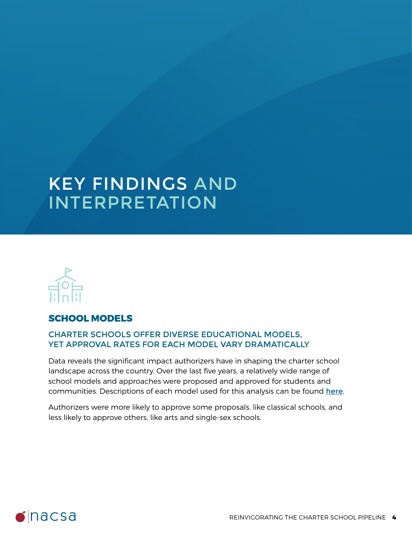# KEY FINDINGS AND INTERPRETATION



#### **SCHOOL MODELS**

#### CHARTER SCHOOLS OFFER DIVERSE EDUCATIONAL MODELS, YET APPROVAL RATES FOR EACH MODEL VARY DRAMATICALLY

Data reveals the significant impact authorizers have in shaping the charter school landscape across the country. Over the last five years, a relatively wide range of school models and approaches were proposed and approved for students and communities. Descriptions of each model used for this analysis can be found here.

Authorizers were more likely to approve some proposals, like classical schools, and less likely to approve others, like arts and single-sex schools.

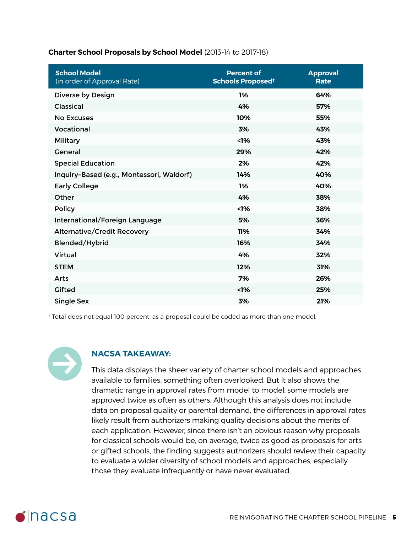#### **Charter School Proposals by School Model** (2013-14 to 2017-18)

| <b>School Model</b><br>(in order of Approval Rate) | <b>Percent of</b><br>Schools Proposed <sup>t</sup> | <b>Approval</b><br>Rate |
|----------------------------------------------------|----------------------------------------------------|-------------------------|
| Diverse by Design                                  | 1%                                                 | 64%                     |
| <b>Classical</b>                                   | 4%                                                 | 57%                     |
| <b>No Excuses</b>                                  | 10%                                                | 55%                     |
| Vocational                                         | 3%                                                 | 43%                     |
| Military                                           | 1%                                                 | 43%                     |
| <b>General</b>                                     | 29%                                                | 42%                     |
| <b>Special Education</b>                           | 2%                                                 | 42%                     |
| Inquiry-Based (e.g., Montessori, Waldorf)          | 14%                                                | 40%                     |
| <b>Early College</b>                               | 1%                                                 | 40%                     |
| Other                                              | 4%                                                 | 38%                     |
| <b>Policy</b>                                      | 1%                                                 | 38%                     |
| International/Foreign Language                     | 5%                                                 | 36%                     |
| <b>Alternative/Credit Recovery</b>                 | 11%                                                | 34%                     |
| Blended/Hybrid                                     | 16%                                                | 34%                     |
| Virtual                                            | 4%                                                 | 32%                     |
| <b>STEM</b>                                        | 12%                                                | 31%                     |
| Arts                                               | 7%                                                 | 26%                     |
| <b>Gifted</b>                                      | 1%                                                 | 25%                     |
| <b>Single Sex</b>                                  | 3%                                                 | 21%                     |

† Total does not equal 100 percent, as a proposal could be coded as more than one model.



#### **NACSA TAKEAWAY:**

This data displays the sheer variety of charter school models and approaches available to families, something often overlooked. But it also shows the dramatic range in approval rates from model to model: some models are approved twice as often as others. Although this analysis does not include data on proposal quality or parental demand, the differences in approval rates likely result from authorizers making quality decisions about the merits of each application. However, since there isn't an obvious reason why proposals for classical schools would be, on average, twice as good as proposals for arts or gifted schools, the finding suggests authorizers should review their capacity to evaluate a wider diversity of school models and approaches, especially those they evaluate infrequently or have never evaluated.

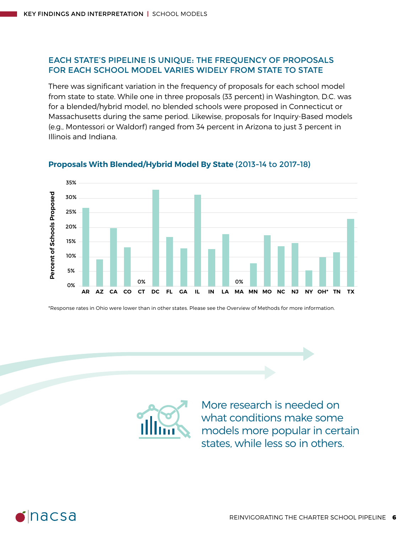#### EACH STATE'S PIPELINE IS UNIQUE: THE FREQUENCY OF PROPOSALS FOR EACH SCHOOL MODEL VARIES WIDELY FROM STATE TO STATE

There was significant variation in the frequency of proposals for each school model from state to state. While one in three proposals (33 percent) in Washington, D.C. was for a blended/hybrid model, no blended schools were proposed in Connecticut or Massachusetts during the same period. Likewise, proposals for Inquiry-Based models (e.g., Montessori or Waldorf) ranged from 34 percent in Arizona to just 3 percent in Illinois and Indiana.



#### **Proposals With Blended/Hybrid Model By State** (2013-14 to 2017-18)

\*Response rates in Ohio were lower than in other states. Please see the Overview of Methods for more information.



More research is needed on what conditions make some models more popular in certain states, while less so in others.

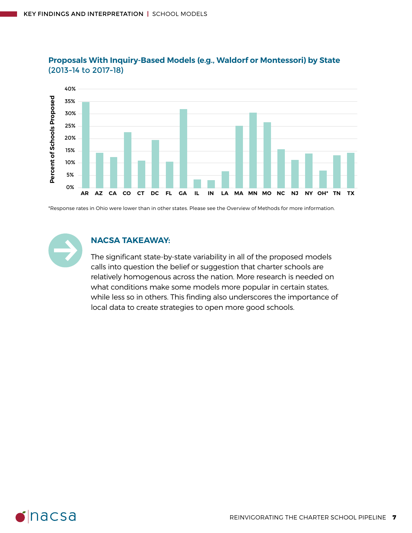

#### **Proposals With Inquiry-Based Models (e.g., Waldorf or Montessori) by State**  (2013-14 to 2017-18)

\*Response rates in Ohio were lower than in other states. Please see the Overview of Methods for more information.



#### **NACSA TAKEAWAY:**

The significant state-by-state variability in all of the proposed models calls into question the belief or suggestion that charter schools are relatively homogenous across the nation. More research is needed on what conditions make some models more popular in certain states, while less so in others. This finding also underscores the importance of local data to create strategies to open more good schools.

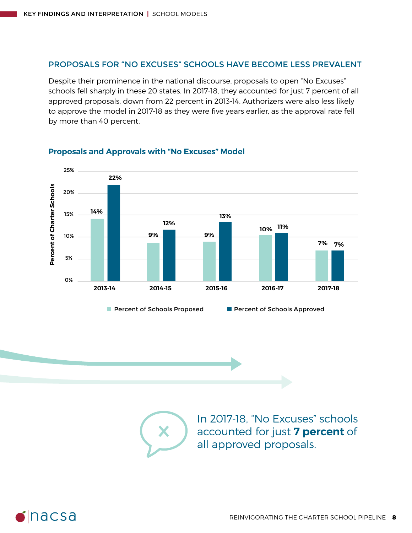#### PROPOSALS FOR "NO EXCUSES" SCHOOLS HAVE BECOME LESS PREVALENT

Despite their prominence in the national discourse, proposals to open "No Excuses" schools fell sharply in these 20 states. In 2017-18, they accounted for just 7 percent of all approved proposals, down from 22 percent in 2013-14. Authorizers were also less likely to approve the model in 2017-18 as they were five years earlier, as the approval rate fell by more than 40 percent.



#### **Proposals and Approvals with "No Excuses" Model**



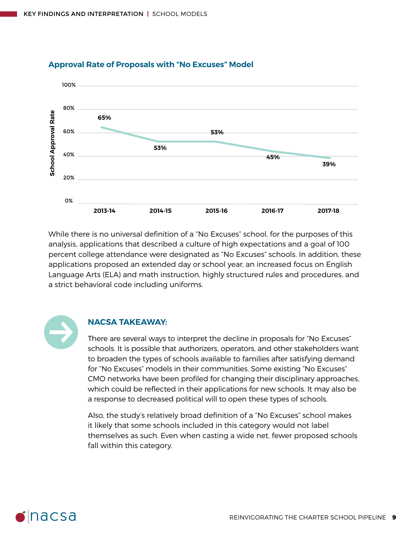

#### **Approval Rate of Proposals with "No Excuses" Model**

While there is no universal definition of a "No Excuses" school, for the purposes of this analysis, applications that described a culture of high expectations and a goal of 100 percent college attendance were designated as "No Excuses" schools. In addition, these applications proposed an extended day or school year, an increased focus on English Language Arts (ELA) and math instruction, highly structured rules and procedures, and a strict behavioral code including uniforms.



#### **NACSA TAKEAWAY:**

There are several ways to interpret the decline in proposals for "No Excuses" schools. It is possible that authorizers, operators, and other stakeholders want to broaden the types of schools available to families after satisfying demand for "No Excuses" models in their communities. Some existing "No Excuses" CMO networks have been profiled for changing their disciplinary approaches, which could be reflected in their applications for new schools. It may also be a response to decreased political will to open these types of schools.

Also, the study's relatively broad definition of a "No Excuses" school makes it likely that some schools included in this category would not label themselves as such. Even when casting a wide net, fewer proposed schools fall within this category.

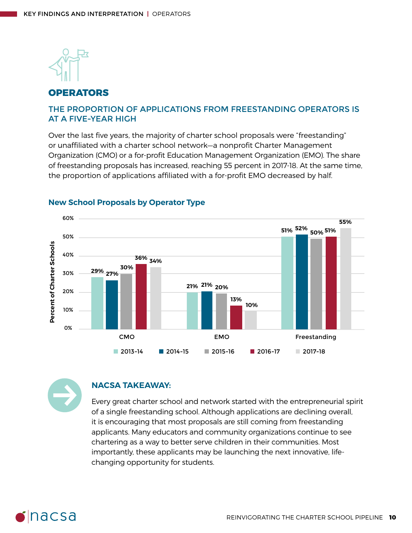

#### **OPERATORS**

#### THE PROPORTION OF APPLICATIONS FROM FREESTANDING OPERATORS IS AT A FIVE-YEAR HIGH

Over the last five years, the majority of charter school proposals were "freestanding" or unaffiliated with a charter school network—a nonprofit Charter Management Organization (CMO) or a for-profit Education Management Organization (EMO). The share of freestanding proposals has increased, reaching 55 percent in 2017-18. At the same time, the proportion of applications affiliated with a for-profit EMO decreased by half.



#### **New School Proposals by Operator Type**



#### **NACSA TAKEAWAY:**

Every great charter school and network started with the entrepreneurial spirit of a single freestanding school. Although applications are declining overall, it is encouraging that most proposals are still coming from freestanding applicants. Many educators and community organizations continue to see chartering as a way to better serve children in their communities. Most importantly, these applicants may be launching the next innovative, lifechanging opportunity for students.

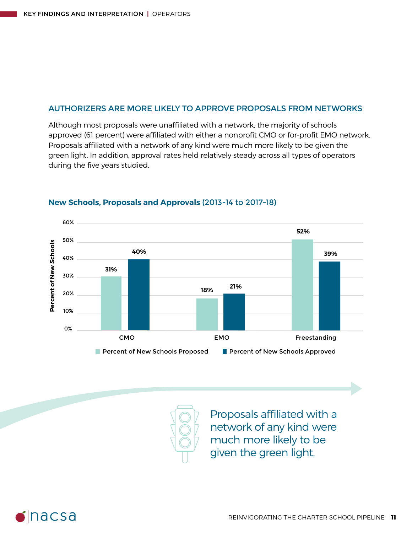#### AUTHORIZERS ARE MORE LIKELY TO APPROVE PROPOSALS FROM NETWORKS

Although most proposals were unaffiliated with a network, the majority of schools approved (61 percent) were affiliated with either a nonprofit CMO or for-profit EMO network. Proposals affiliated with a network of any kind were much more likely to be given the green light. In addition, approval rates held relatively steady across all types of operators during the five years studied.



#### **New Schools, Proposals and Approvals** (2013-14 to 2017-18)

Proposals affiliated with a network of any kind were much more likely to be given the green light.

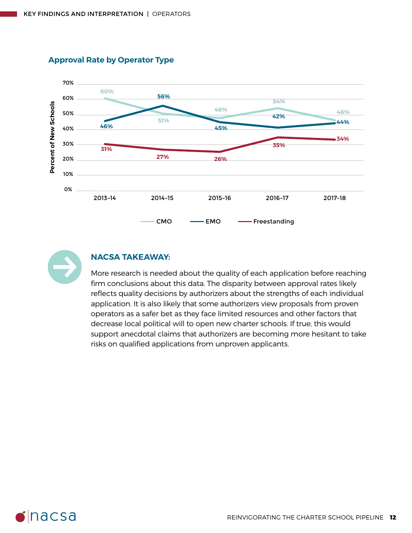

#### **Approval Rate by Operator Type**



#### **NACSA TAKEAWAY:**

More research is needed about the quality of each application before reaching firm conclusions about this data. The disparity between approval rates likely reflects quality decisions by authorizers about the strengths of each individual application. It is also likely that some authorizers view proposals from proven operators as a safer bet as they face limited resources and other factors that decrease local political will to open new charter schools. If true, this would support anecdotal claims that authorizers are becoming more hesitant to take risks on qualified applications from unproven applicants.

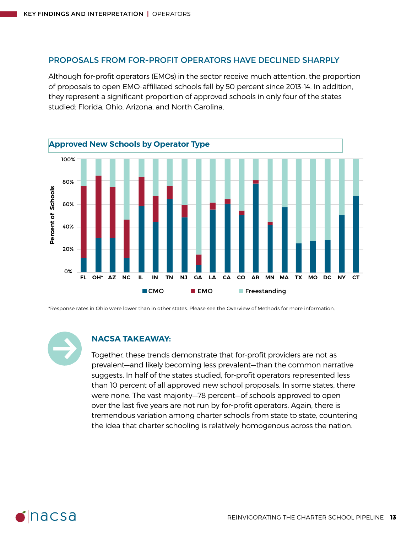#### PROPOSALS FROM FOR-PROFIT OPERATORS HAVE DECLINED SHARPLY

Although for-profit operators (EMOs) in the sector receive much attention, the proportion of proposals to open EMO-affiliated schools fell by 50 percent since 2013-14. In addition, they represent a significant proportion of approved schools in only four of the states studied: Florida, Ohio, Arizona, and North Carolina.



\*Response rates in Ohio were lower than in other states. Please see the Overview of Methods for more information.

#### **NACSA TAKEAWAY:**

Together, these trends demonstrate that for-profit providers are not as prevalent—and likely becoming less prevalent—than the common narrative suggests. In half of the states studied, for-profit operators represented less than 10 percent of all approved new school proposals. In some states, there were none. The vast majority—78 percent—of schools approved to open over the last five years are not run by for-profit operators. Again, there is tremendous variation among charter schools from state to state, countering the idea that charter schooling is relatively homogenous across the nation.

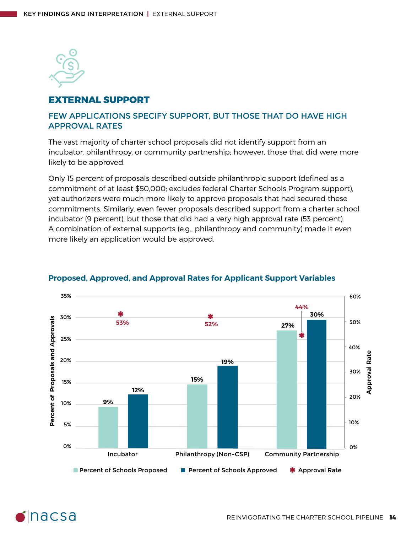

#### **EXTERNAL SUPPORT**

#### FEW APPLICATIONS SPECIFY SUPPORT, BUT THOSE THAT DO HAVE HIGH APPROVAL RATES

The vast majority of charter school proposals did not identify support from an incubator, philanthropy, or community partnership; however, those that did were more likely to be approved.

Only 15 percent of proposals described outside philanthropic support (defined as a commitment of at least \$50,000; excludes federal Charter Schools Program support), yet authorizers were much more likely to approve proposals that had secured these commitments. Similarly, even fewer proposals described support from a charter school incubator (9 percent), but those that did had a very high approval rate (53 percent). A combination of external supports (e.g., philanthropy and community) made it even more likely an application would be approved.



#### **Proposed, Approved, and Approval Rates for Applicant Support Variables**

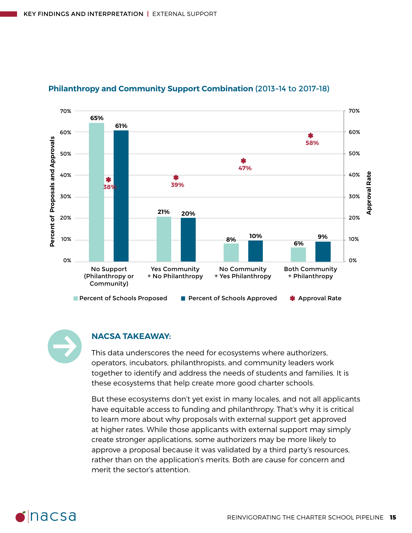

#### **Philanthropy and Community Support Combination** (2013-14 to 2017-18)



#### **NACSA TAKEAWAY:**

This data underscores the need for ecosystems where authorizers, operators, incubators, philanthropists, and community leaders work together to identify and address the needs of students and families. It is these ecosystems that help create more good charter schools.

But these ecosystems don't yet exist in many locales, and not all applicants have equitable access to funding and philanthropy. That's why it is critical to learn more about why proposals with external support get approved at higher rates. While those applicants with external support may simply create stronger applications, some authorizers may be more likely to approve a proposal because it was validated by a third party's resources, rather than on the application's merits. Both are cause for concern and merit the sector's attention.

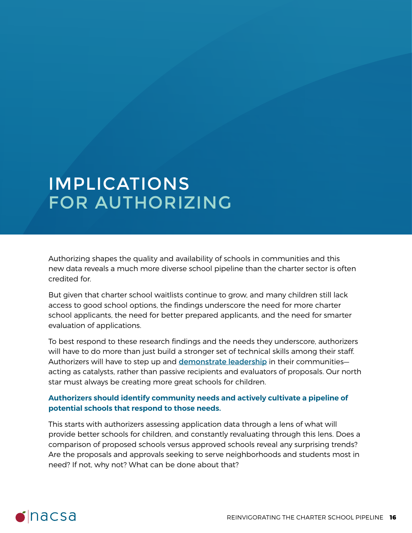# IMPLICATIONS FOR AUTHORIZING

Authorizing shapes the quality and availability of schools in communities and this new data reveals a much more diverse school pipeline than the charter sector is often credited for.

But given that charter school waitlists continue to grow, and many children still lack access to good school options, the findings underscore the need for more charter school applicants, the need for better prepared applicants, and the need for smarter evaluation of applications.

To best respond to these research findings and the needs they underscore, authorizers will have to do more than just build a stronger set of technical skills among their staff. Authorizers will have to step up and [demonstrate leadership](https://www.qualitycharters.org/research/quality-practice-project/key-findings/#section1) in their communitiesacting as catalysts, rather than passive recipients and evaluators of proposals. Our north star must always be creating more great schools for children.

#### **Authorizers should identify community needs and actively cultivate a pipeline of potential schools that respond to those needs.**

This starts with authorizers assessing application data through a lens of what will provide better schools for children, and constantly revaluating through this lens. Does a comparison of proposed schools versus approved schools reveal any surprising trends? Are the proposals and approvals seeking to serve neighborhoods and students most in need? If not, why not? What can be done about that?

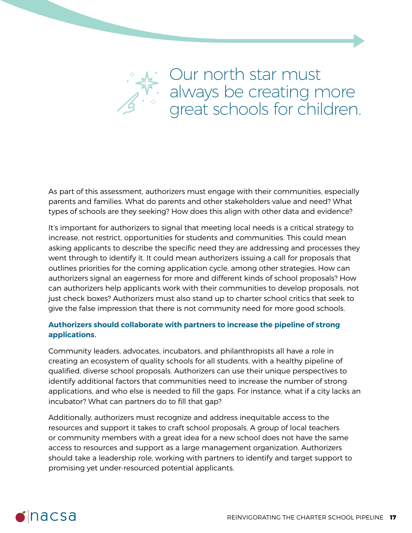

As part of this assessment, authorizers must engage with their communities, especially parents and families. What do parents and other stakeholders value and need? What types of schools are they seeking? How does this align with other data and evidence?

It's important for authorizers to signal that meeting local needs is a critical strategy to increase, not restrict, opportunities for students and communities. This could mean asking applicants to describe the specific need they are addressing and processes they went through to identify it. It could mean authorizers issuing a call for proposals that outlines priorities for the coming application cycle, among other strategies. How can authorizers signal an eagerness for more and different kinds of school proposals? How can authorizers help applicants work with their communities to develop proposals, not just check boxes? Authorizers must also stand up to charter school critics that seek to give the false impression that there is not community need for more good schools.

#### **Authorizers should collaborate with partners to increase the pipeline of strong applications.**

Community leaders, advocates, incubators, and philanthropists all have a role in creating an ecosystem of quality schools for all students, with a healthy pipeline of qualified, diverse school proposals. Authorizers can use their unique perspectives to identify additional factors that communities need to increase the number of strong applications, and who else is needed to fill the gaps. For instance, what if a city lacks an incubator? What can partners do to fill that gap?

Additionally, authorizers must recognize and address inequitable access to the resources and support it takes to craft school proposals. A group of local teachers or community members with a great idea for a new school does not have the same access to resources and support as a large management organization. Authorizers should take a leadership role, working with partners to identify and target support to promising yet under-resourced potential applicants.

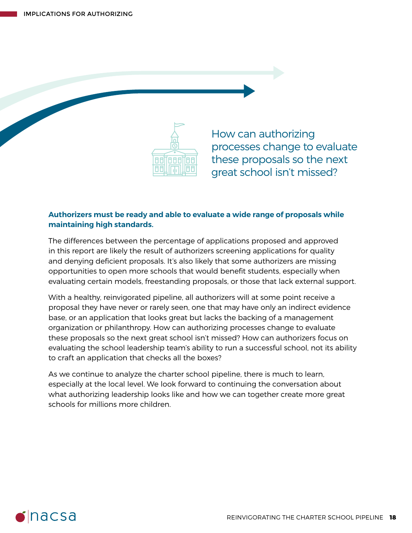

How can authorizing processes change to evaluate these proposals so the next great school isn't missed?

#### **Authorizers must be ready and able to evaluate a wide range of proposals while maintaining high standards.**

The differences between the percentage of applications proposed and approved in this report are likely the result of authorizers screening applications for quality and denying deficient proposals. It's also likely that some authorizers are missing opportunities to open more schools that would benefit students, especially when evaluating certain models, freestanding proposals, or those that lack external support.

With a healthy, reinvigorated pipeline, all authorizers will at some point receive a proposal they have never or rarely seen, one that may have only an indirect evidence base, or an application that looks great but lacks the backing of a management organization or philanthropy. How can authorizing processes change to evaluate these proposals so the next great school isn't missed? How can authorizers focus on evaluating the school leadership team's ability to run a successful school, not its ability to craft an application that checks all the boxes?

As we continue to analyze the charter school pipeline, there is much to learn, especially at the local level. We look forward to continuing the conversation about what authorizing leadership looks like and how we can together create more great schools for millions more children.

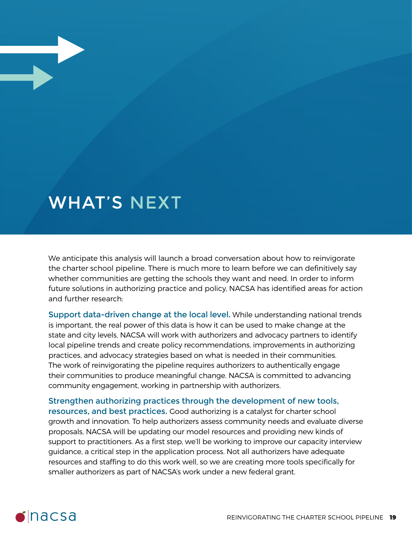### WHAT'S NEXT

We anticipate this analysis will launch a broad conversation about how to reinvigorate the charter school pipeline. There is much more to learn before we can definitively say whether communities are getting the schools they want and need. In order to inform future solutions in authorizing practice and policy, NACSA has identified areas for action and further research:

Support data-driven change at the local level. While understanding national trends is important, the real power of this data is how it can be used to make change at the state and city levels. NACSA will work with authorizers and advocacy partners to identify local pipeline trends and create policy recommendations, improvements in authorizing practices, and advocacy strategies based on what is needed in their communities. The work of reinvigorating the pipeline requires authorizers to authentically engage their communities to produce meaningful change. NACSA is committed to advancing community engagement, working in partnership with authorizers.

Strengthen authorizing practices through the development of new tools, resources, and best practices. Good authorizing is a catalyst for charter school growth and innovation. To help authorizers assess community needs and evaluate diverse proposals, NACSA will be updating our model resources and providing new kinds of support to practitioners. As a first step, we'll be working to improve our capacity interview guidance, a critical step in the application process. Not all authorizers have adequate resources and staffing to do this work well, so we are creating more tools specifically for smaller authorizers as part of NACSA's work under a new federal grant.

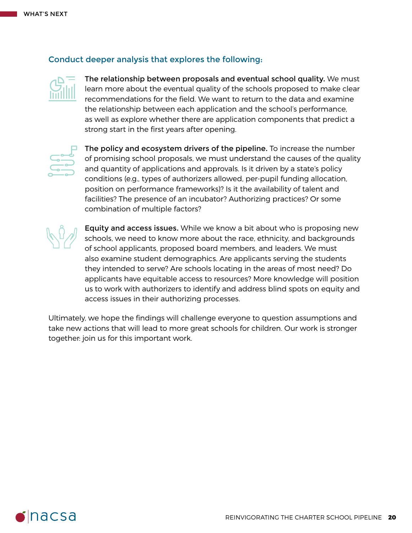#### Conduct deeper analysis that explores the following:



The relationship between proposals and eventual school quality. We must learn more about the eventual quality of the schools proposed to make clear recommendations for the field. We want to return to the data and examine the relationship between each application and the school's performance, as well as explore whether there are application components that predict a strong start in the first years after opening.



The policy and ecosystem drivers of the pipeline. To increase the number of promising school proposals, we must understand the causes of the quality and quantity of applications and approvals. Is it driven by a state's policy conditions (e.g., types of authorizers allowed, per-pupil funding allocation, position on performance frameworks)? Is it the availability of talent and facilities? The presence of an incubator? Authorizing practices? Or some combination of multiple factors?



Equity and access issues. While we know a bit about who is proposing new schools, we need to know more about the race, ethnicity, and backgrounds of school applicants, proposed board members, and leaders. We must also examine student demographics. Are applicants serving the students they intended to serve? Are schools locating in the areas of most need? Do applicants have equitable access to resources? More knowledge will position us to work with authorizers to identify and address blind spots on equity and access issues in their authorizing processes.

Ultimately, we hope the findings will challenge everyone to question assumptions and take new actions that will lead to more great schools for children. Our work is stronger together: join us for this important work.

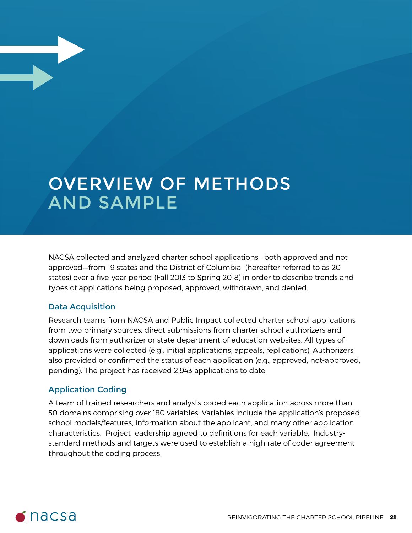# OVERVIEW OF METHODS AND SAMPLE

NACSA collected and analyzed charter school applications—both approved and not approved—from 19 states and the District of Columbia (hereafter referred to as 20 states) over a five-year period (Fall 2013 to Spring 2018) in order to describe trends and types of applications being proposed, approved, withdrawn, and denied.

#### Data Acquisition

Research teams from NACSA and Public Impact collected charter school applications from two primary sources: direct submissions from charter school authorizers and downloads from authorizer or state department of education websites. All types of applications were collected (e.g., initial applications, appeals, replications). Authorizers also provided or confirmed the status of each application (e.g., approved, not-approved, pending). The project has received 2,943 applications to date.

#### Application Coding

A team of trained researchers and analysts coded each application across more than 50 domains comprising over 180 variables. Variables include the application's proposed school models/features, information about the applicant, and many other application characteristics. Project leadership agreed to definitions for each variable. Industrystandard methods and targets were used to establish a high rate of coder agreement throughout the coding process.

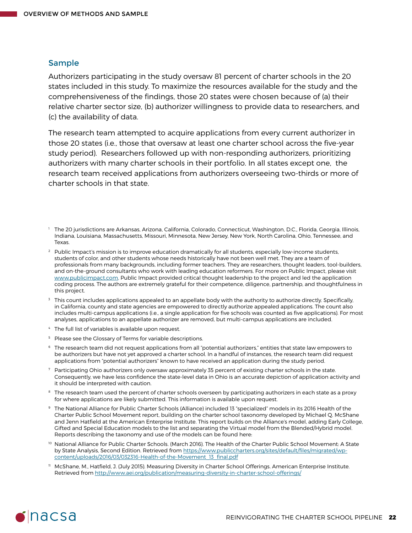#### Sample

Authorizers participating in the study oversaw 81 percent of charter schools in the 20 states included in this study. To maximize the resources available for the study and the comprehensiveness of the findings, those 20 states were chosen because of (a) their relative charter sector size, (b) authorizer willingness to provide data to researchers, and (c) the availability of data.

The research team attempted to acquire applications from every current authorizer in those 20 states (i.e., those that oversaw at least one charter school across the five-year study period). Researchers followed up with non-responding authorizers, prioritizing authorizers with many charter schools in their portfolio. In all states except one, the research team received applications from authorizers overseeing two-thirds or more of charter schools in that state.

- <sup>1</sup> The 20 jurisdictions are Arkansas, Arizona, California, Colorado, Connecticut, Washington, D.C., Florida, Georgia, Illinois, Indiana, Louisiana, Massachusetts, Missouri, Minnesota, New Jersey, New York, North Carolina, Ohio, Tennessee, and Texas.
- <sup>2</sup> Public Impact's mission is to improve education dramatically for all students, especially low-income students, students of color, and other students whose needs historically have not been well met. They are a team of professionals from many backgrounds, including former teachers. They are researchers, thought leaders, tool-builders, and on-the-ground consultants who work with leading education reformers. For more on Public Impact, please visit [www.publicimpact.com.](http://www.publicimpact.com) Public Impact provided critical thought leadership to the project and led the application coding process. The authors are extremely grateful for their competence, diligence, partnership, and thoughtfulness in this project.
- <sup>3</sup> This count includes applications appealed to an appellate body with the authority to authorize directly. Specifically, in California, county and state agencies are empowered to directly authorize appealed applications. The count also includes multi-campus applications (i.e., a single application for five schools was counted as five applications). For most analyses, applications to an appellate authorizer are removed, but multi-campus applications are included.
- <sup>4</sup> The full list of variables is available upon request.
- <sup>5</sup> Please see the Glossary of Terms for variable descriptions.
- $6$  The research team did not request applications from all "potential authorizers," entities that state law empowers to be authorizers but have not yet approved a charter school. In a handful of instances, the research team did request applications from "potential authorizers" known to have received an application during the study period.
- Participating Ohio authorizers only oversaw approximately 35 percent of existing charter schools in the state. Consequently, we have less confidence the state-level data in Ohio is an accurate depiction of application activity and it should be interpreted with caution.
- <sup>8</sup> The research team used the percent of charter schools overseen by participating authorizers in each state as a proxy for where applications are likely submitted. This information is available upon request.
- <sup>9</sup> The National Alliance for Public Charter Schools (Alliance) included 13 "specialized" models in its 2016 Health of the Charter Public School Movement report, building on the charter school taxonomy developed by Michael Q. McShane and Jenn Hatfield at the American Enterprise Institute. This report builds on the Alliance's model, adding Early College, Gifted and Special Education models to the list and separating the Virtual model from the Blended/Hybrid model. Reports describing the taxonomy and use of the models can be found here:
- <sup>10</sup> National Alliance for Public Charter Schools. (March 2016). The Health of the Charter Public School Movement: A State by State Analysis, Second Edition. Retrieved from [https://www.publiccharters.org/sites/default/files/migrated/wp](https://www.publiccharters.org/sites/default/files/migrated/wp-content/uploads/2016/03/032316-Health-of-the-Movement_13_final.pdf)[content/uploads/2016/03/032316-Health-of-the-Movement\\_13\\_final.pdf](https://www.publiccharters.org/sites/default/files/migrated/wp-content/uploads/2016/03/032316-Health-of-the-Movement_13_final.pdf)
- <sup>11</sup> McShane, M., Hatfield, J. (July 2015). Measuring Diversity in Charter School Offerings. American Enterprise Institute. Retrieved from<http://www.aei.org/publication/measuring-diversity-in-charter-school-offerings/>

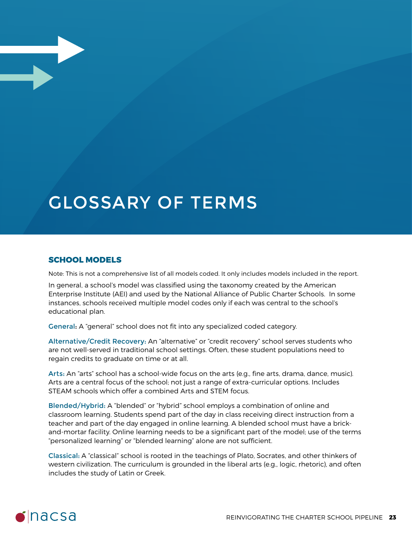# GLOSSARY OF TERMS

#### **SCHOOL MODELS**

Note: This is not a comprehensive list of all models coded. It only includes models included in the report.

In general, a school's model was classified using the taxonomy created by the American Enterprise Institute (AEI) and used by the National Alliance of Public Charter Schools. In some instances, schools received multiple model codes only if each was central to the school's educational plan.

General: A "general" school does not fit into any specialized coded category.

Alternative/Credit Recovery: An "alternative" or "credit recovery" school serves students who are not well-served in traditional school settings. Often, these student populations need to regain credits to graduate on time or at all.

Arts: An "arts" school has a school-wide focus on the arts (e.g., fine arts, drama, dance, music). Arts are a central focus of the school; not just a range of extra-curricular options. Includes STEAM schools which offer a combined Arts and STEM focus.

Blended/Hybrid: A "blended" or "hybrid" school employs a combination of online and classroom learning. Students spend part of the day in class receiving direct instruction from a teacher and part of the day engaged in online learning. A blended school must have a brickand-mortar facility. Online learning needs to be a significant part of the model; use of the terms "personalized learning" or "blended learning" alone are not sufficient.

Classical: A "classical" school is rooted in the teachings of Plato, Socrates, and other thinkers of western civilization. The curriculum is grounded in the liberal arts (e.g., logic, rhetoric), and often includes the study of Latin or Greek.

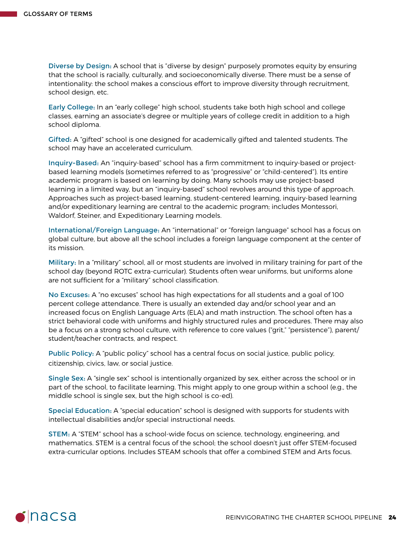Diverse by Design: A school that is "diverse by design" purposely promotes equity by ensuring that the school is racially, culturally, and socioeconomically diverse. There must be a sense of intentionality: the school makes a conscious effort to improve diversity through recruitment, school design, etc.

Early College: In an "early college" high school, students take both high school and college classes, earning an associate's degree or multiple years of college credit in addition to a high school diploma.

Gifted: A "gifted" school is one designed for academically gifted and talented students. The school may have an accelerated curriculum.

Inquiry-Based: An "inquiry-based" school has a firm commitment to inquiry-based or projectbased learning models (sometimes referred to as "progressive" or "child-centered"). Its entire academic program is based on learning by doing. Many schools may use project-based learning in a limited way, but an "inquiry-based" school revolves around this type of approach. Approaches such as project-based learning, student-centered learning, inquiry-based learning and/or expeditionary learning are central to the academic program; includes Montessori, Waldorf, Steiner, and Expeditionary Learning models.

International/Foreign Language: An "international" or "foreign language" school has a focus on global culture, but above all the school includes a foreign language component at the center of its mission.

Military: In a "military" school, all or most students are involved in military training for part of the school day (beyond ROTC extra-curricular). Students often wear uniforms, but uniforms alone are not sufficient for a "military" school classification.

No Excuses: A "no excuses" school has high expectations for all students and a goal of 100 percent college attendance. There is usually an extended day and/or school year and an increased focus on English Language Arts (ELA) and math instruction. The school often has a strict behavioral code with uniforms and highly structured rules and procedures. There may also be a focus on a strong school culture, with reference to core values ("grit," "persistence"), parent/ student/teacher contracts, and respect.

Public Policy: A "public policy" school has a central focus on social justice, public policy, citizenship, civics, law, or social justice.

Single Sex: A "single sex" school is intentionally organized by sex, either across the school or in part of the school, to facilitate learning. This might apply to one group within a school (e.g., the middle school is single sex, but the high school is co-ed).

Special Education: A "special education" school is designed with supports for students with intellectual disabilities and/or special instructional needs.

STEM: A "STEM" school has a school-wide focus on science, technology, engineering, and mathematics. STEM is a central focus of the school; the school doesn't just offer STEM-focused extra-curricular options. Includes STEAM schools that offer a combined STEM and Arts focus.

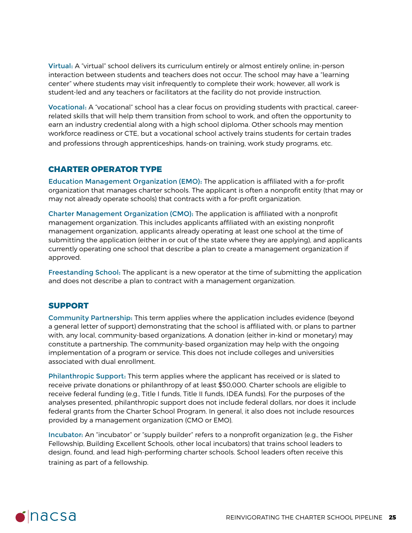Virtual: A "virtual" school delivers its curriculum entirely or almost entirely online; in-person interaction between students and teachers does not occur. The school may have a "learning center" where students may visit infrequently to complete their work; however, all work is student-led and any teachers or facilitators at the facility do not provide instruction.

Vocational: A "vocational" school has a clear focus on providing students with practical, careerrelated skills that will help them transition from school to work, and often the opportunity to earn an industry credential along with a high school diploma. Other schools may mention workforce readiness or CTE, but a vocational school actively trains students for certain trades and professions through apprenticeships, hands-on training, work study programs, etc.

#### **CHARTER OPERATOR TYPE**

Education Management Organization (EMO): The application is affiliated with a for-profit organization that manages charter schools. The applicant is often a nonprofit entity (that may or may not already operate schools) that contracts with a for-profit organization.

Charter Management Organization (CMO): The application is affiliated with a nonprofit management organization. This includes applicants affiliated with an existing nonprofit management organization, applicants already operating at least one school at the time of submitting the application (either in or out of the state where they are applying), and applicants currently operating one school that describe a plan to create a management organization if approved.

Freestanding School: The applicant is a new operator at the time of submitting the application and does not describe a plan to contract with a management organization.

#### **SUPPORT**

Community Partnership: This term applies where the application includes evidence (beyond a general letter of support) demonstrating that the school is affiliated with, or plans to partner with, any local, community-based organizations. A donation (either in-kind or monetary) may constitute a partnership. The community-based organization may help with the ongoing implementation of a program or service. This does not include colleges and universities associated with dual enrollment.

Philanthropic Support: This term applies where the applicant has received or is slated to receive private donations or philanthropy of at least \$50,000. Charter schools are eligible to receive federal funding (e.g., Title I funds, Title II funds, IDEA funds). For the purposes of the analyses presented, philanthropic support does not include federal dollars, nor does it include federal grants from the Charter School Program. In general, it also does not include resources provided by a management organization (CMO or EMO).

Incubator: An "incubator" or "supply builder" refers to a nonprofit organization (e.g., the Fisher Fellowship, Building Excellent Schools, other local incubators) that trains school leaders to design, found, and lead high-performing charter schools. School leaders often receive this training as part of a fellowship.